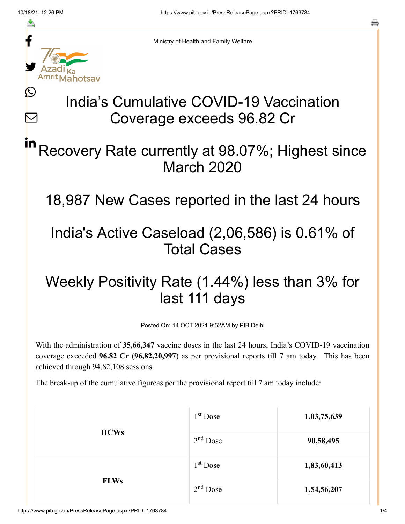≛

Ŀ

 $\bm{\nabla}$ 

Ministry of Health and Family Welfare

# India's Cumulative COVID-19 Vaccination Coverage exceeds 96.82 Cr

### Recovery Rate currently at 98.07%; Highest since March 2020 in

18,987 New Cases reported in the last 24 hours

## India's Active Caseload (2,06,586) is 0.61% of Total Cases

## Weekly Positivity Rate (1.44%) less than 3% for last 111 days

Posted On: 14 OCT 2021 9:52AM by PIB Delhi

With the administration of **35,66,347** vaccine doses in the last 24 hours, India's COVID-19 vaccination coverage exceeded **96.82 Cr (96,82,20,997**) as per provisional reports till 7 am today. This has been achieved through 94,82,108 sessions.

The break-up of the cumulative figureas per the provisional report till 7 am today include:

| <b>HCWs</b> | $1st$ Dose | 1,03,75,639 |
|-------------|------------|-------------|
|             | $2nd$ Dose | 90,58,495   |
| <b>FLWs</b> | $1st$ Dose | 1,83,60,413 |
|             | $2nd$ Dose | 1,54,56,207 |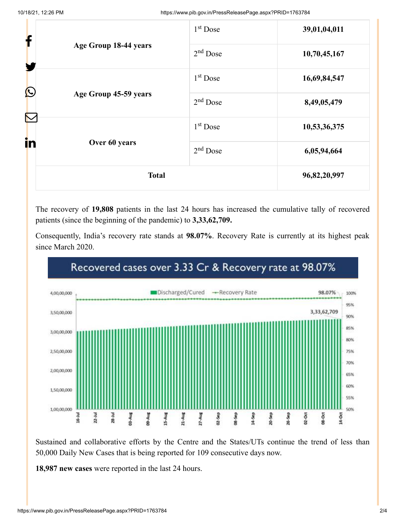|                       | <b>Total</b>                        |                      | 96,82,20,997 |
|-----------------------|-------------------------------------|----------------------|--------------|
| in                    | Over 60 years                       | $2nd$ Dose           | 6,05,94,664  |
|                       |                                     | $1st$ Dose           | 10,53,36,375 |
|                       | $\bigcirc$<br>Age Group 45-59 years | $2nd$ Dose           | 8,49,05,479  |
|                       |                                     | 1 <sup>st</sup> Dose | 16,69,84,547 |
| Age Group 18-44 years | $2nd$ Dose                          | 10,70,45,167         |              |
| f                     |                                     | 1 <sup>st</sup> Dose | 39,01,04,011 |

The recovery of **19,808** patients in the last 24 hours has increased the cumulative tally of recovered patients (since the beginning of the pandemic) to **3,33,62,709.**

Consequently, India's recovery rate stands at **98.07%**. Recovery Rate is currently at its highest peak since March 2020.



#### Recovered cases over 3.33 Cr & Recovery rate at 98.07%

Sustained and collaborative efforts by the Centre and the States/UTs continue the trend of less than 50,000 Daily New Cases that is being reported for 109 consecutive days now.

**18,987 new cases** were reported in the last 24 hours.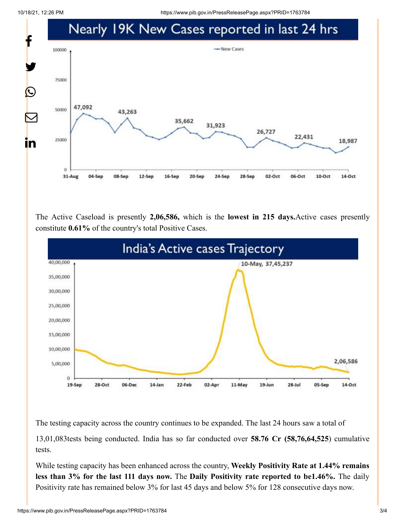10/18/21, 12:26 PM https://www.pib.gov.in/PressReleasePage.aspx?PRID=1763784



The Active Caseload is presently **2,06,586,** which is the **lowest in 215 days.**Active cases presently constitute **0.61%** of the country's total Positive Cases.



The testing capacity across the country continues to be expanded. The last 24 hours saw a total of

13,01,083tests being conducted. India has so far conducted over **58.76 Cr (58,76,64,525**) cumulative tests.

While testing capacity has been enhanced across the country, **Weekly Positivity Rate at 1.44% remains less than 3% for the last 111 days now.** The **Daily Positivity rate reported to be1.46%.** The daily Positivity rate has remained below 3% for last 45 days and below 5% for 128 consecutive days now.